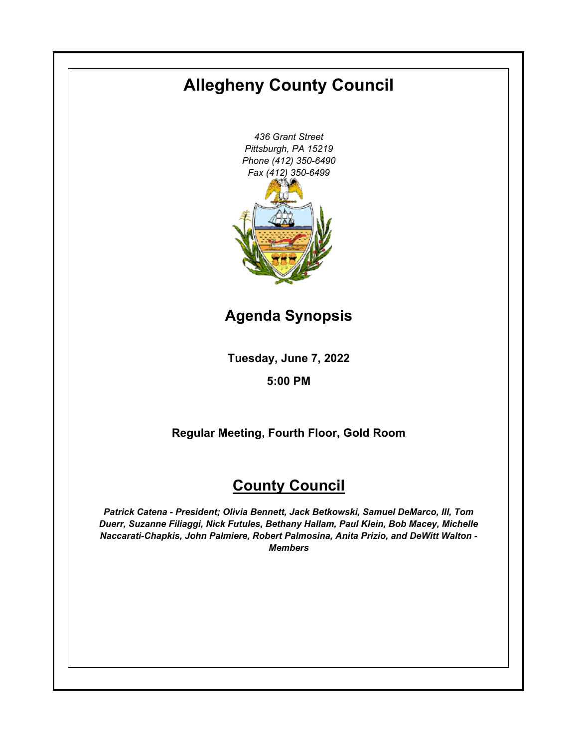# **Allegheny County Council**

*436 Grant Street Pittsburgh, PA 15219 Phone (412) 350-6490 Fax (412) 350-6499*

**Agenda Synopsis**

**Tuesday, June 7, 2022**

**5:00 PM**

**Regular Meeting, Fourth Floor, Gold Room**

# **County Council**

*Patrick Catena - President; Olivia Bennett, Jack Betkowski, Samuel DeMarco, III, Tom Duerr, Suzanne Filiaggi, Nick Futules, Bethany Hallam, Paul Klein, Bob Macey, Michelle Naccarati-Chapkis, John Palmiere, Robert Palmosina, Anita Prizio, and DeWitt Walton - Members*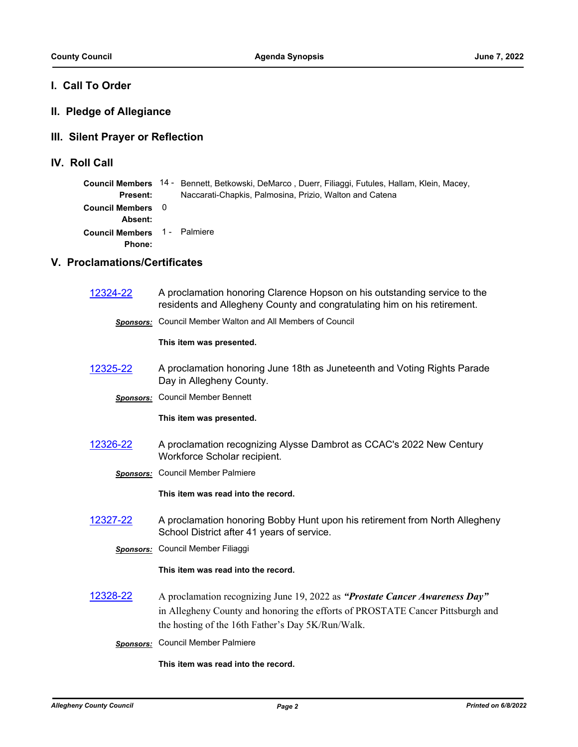## **I. Call To Order**

## **II. Pledge of Allegiance**

## **III. Silent Prayer or Reflection**

**IV. Roll Call**

|                                               | Council Members 14 - Bennett, Betkowski, DeMarco, Duerr, Filiaggi, Futules, Hallam, Klein, Macey, |
|-----------------------------------------------|---------------------------------------------------------------------------------------------------|
| <b>Present:</b>                               | Naccarati-Chapkis, Palmosina, Prizio, Walton and Catena                                           |
| Council Members 0<br>Absent:                  |                                                                                                   |
| Council Members 1 - Palmiere<br><b>Phone:</b> |                                                                                                   |

## **V. Proclamations/Certificates**

| 12324-22         | A proclamation honoring Clarence Hopson on his outstanding service to the<br>residents and Allegheny County and congratulating him on his retirement.                                                              |
|------------------|--------------------------------------------------------------------------------------------------------------------------------------------------------------------------------------------------------------------|
| Sponsors:        | Council Member Walton and All Members of Council                                                                                                                                                                   |
|                  | This item was presented.                                                                                                                                                                                           |
| 12325-22         | A proclamation honoring June 18th as Juneteenth and Voting Rights Parade<br>Day in Allegheny County.                                                                                                               |
| <b>Sponsors:</b> | <b>Council Member Bennett</b>                                                                                                                                                                                      |
|                  | This item was presented.                                                                                                                                                                                           |
| 12326-22         | A proclamation recognizing Alysse Dambrot as CCAC's 2022 New Century<br>Workforce Scholar recipient.                                                                                                               |
| <b>Sponsors:</b> | <b>Council Member Palmiere</b>                                                                                                                                                                                     |
|                  | This item was read into the record.                                                                                                                                                                                |
| 12327-22         | A proclamation honoring Bobby Hunt upon his retirement from North Allegheny<br>School District after 41 years of service.                                                                                          |
| <b>Sponsors:</b> | Council Member Filiaggi                                                                                                                                                                                            |
|                  | This item was read into the record.                                                                                                                                                                                |
| 12328-22         | A proclamation recognizing June 19, 2022 as "Prostate Cancer Awareness Day"<br>in Allegheny County and honoring the efforts of PROSTATE Cancer Pittsburgh and<br>the hosting of the 16th Father's Day 5K/Run/Walk. |
|                  | <b>Sponsors:</b> Council Member Palmiere                                                                                                                                                                           |
|                  | This item was read into the record.                                                                                                                                                                                |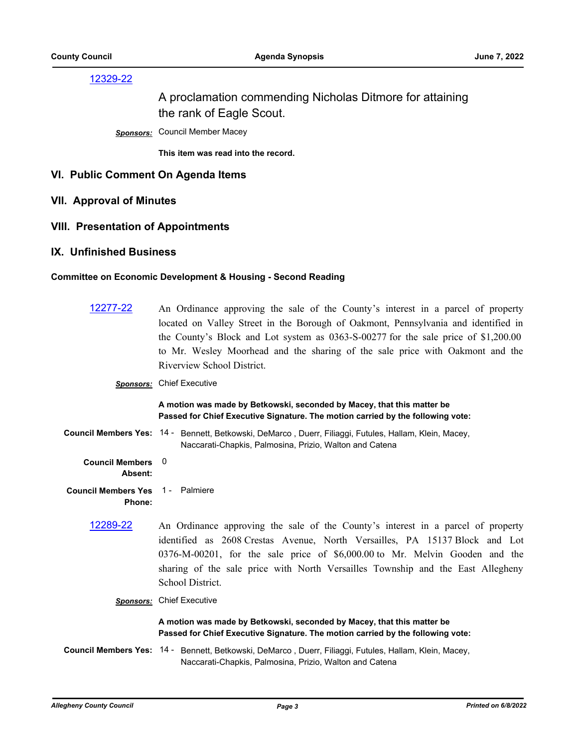## [12329-22](http://allegheny.legistar.com/gateway.aspx?m=l&id=/matter.aspx?key=13394)

## A proclamation commending Nicholas Ditmore for attaining the rank of Eagle Scout.

*Sponsors:* Council Member Macey

**This item was read into the record.**

#### **VI. Public Comment On Agenda Items**

**VII. Approval of Minutes**

#### **VIII. Presentation of Appointments**

#### **IX. Unfinished Business**

#### **Committee on Economic Development & Housing - Second Reading**

| 12277-22                             | An Ordinance approving the sale of the County's interest in a parcel of property<br>located on Valley Street in the Borough of Oakmont, Pennsylvania and identified in<br>the County's Block and Lot system as 0363-S-00277 for the sale price of \$1,200.00<br>to Mr. Wesley Moorhead and the sharing of the sale price with Oakmont and the<br>Riverview School District. |  |
|--------------------------------------|-----------------------------------------------------------------------------------------------------------------------------------------------------------------------------------------------------------------------------------------------------------------------------------------------------------------------------------------------------------------------------|--|
|                                      | <b>Sponsors:</b> Chief Executive                                                                                                                                                                                                                                                                                                                                            |  |
|                                      | A motion was made by Betkowski, seconded by Macey, that this matter be<br>Passed for Chief Executive Signature. The motion carried by the following vote:                                                                                                                                                                                                                   |  |
|                                      | Council Members Yes: 14 - Bennett, Betkowski, DeMarco, Duerr, Filiaggi, Futules, Hallam, Klein, Macey,<br>Naccarati-Chapkis, Palmosina, Prizio, Walton and Catena                                                                                                                                                                                                           |  |
| <b>Council Members</b><br>Absent:    | 0                                                                                                                                                                                                                                                                                                                                                                           |  |
| <b>Council Members Yes</b><br>Phone: | 1 - Palmiere                                                                                                                                                                                                                                                                                                                                                                |  |
| 12289-22                             | An Ordinance approving the sale of the County's interest in a parcel of property<br>identified as 2608 Crestas Avenue, North Versailles, PA 15137 Block and Lot<br>0376-M-00201, for the sale price of \$6,000.00 to Mr. Melvin Gooden and the<br>sharing of the sale price with North Versailles Township and the East Allegheny<br>School District.                       |  |
|                                      | <b>Sponsors:</b> Chief Executive                                                                                                                                                                                                                                                                                                                                            |  |
|                                      | A motion was made by Betkowski, seconded by Macey, that this matter be<br>Passed for Chief Executive Signature. The motion carried by the following vote:                                                                                                                                                                                                                   |  |

Council Members Yes: 14 - Bennett, Betkowski, DeMarco, Duerr, Filiaggi, Futules, Hallam, Klein, Macey, Naccarati-Chapkis, Palmosina, Prizio, Walton and Catena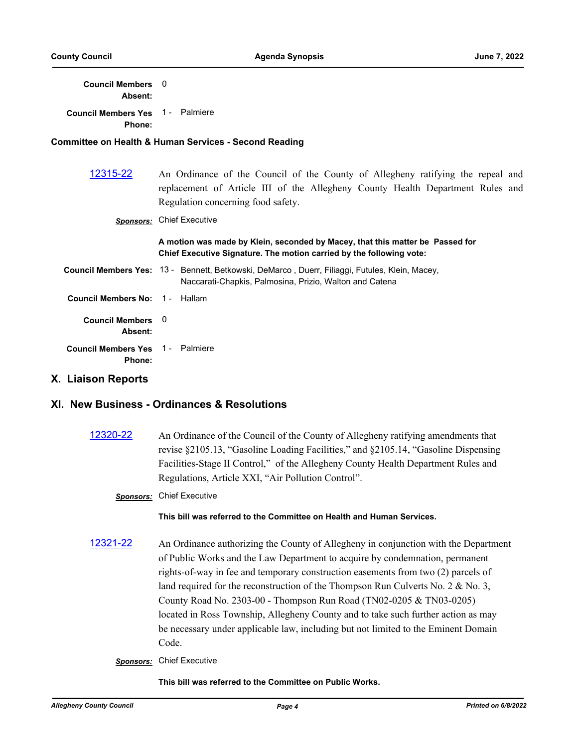**Council Members**  0 **Absent:**

| Council Members Yes 1 - Palmiere<br>Phone: |                                                                                                                                                                                                         |
|--------------------------------------------|---------------------------------------------------------------------------------------------------------------------------------------------------------------------------------------------------------|
|                                            | <b>Committee on Health &amp; Human Services - Second Reading</b>                                                                                                                                        |
| 12315-22                                   | An Ordinance of the Council of the County of Allegheny ratifying the repeal and<br>replacement of Article III of the Allegheny County Health Department Rules and<br>Regulation concerning food safety. |
| <b>Sponsors:</b>                           | <b>Chief Executive</b>                                                                                                                                                                                  |
|                                            | A motion was made by Klein, seconded by Macey, that this matter be Passed for<br>Chief Executive Signature. The motion carried by the following vote:                                                   |
|                                            | Council Members Yes: 13 - Bennett, Betkowski, DeMarco, Duerr, Filiaggi, Futules, Klein, Macey,<br>Naccarati-Chapkis, Palmosina, Prizio, Walton and Catena                                               |
| Council Members No: 1 - Hallam             |                                                                                                                                                                                                         |
|                                            |                                                                                                                                                                                                         |

**Absent: Council Members Yes Phone:** 1 - Palmiere

**Council Members** 

#### **X. Liaison Reports**

## **XI. New Business - Ordinances & Resolutions**

 $\Omega$ 

- [12320-22](http://allegheny.legistar.com/gateway.aspx?m=l&id=/matter.aspx?key=13385) An Ordinance of the Council of the County of Allegheny ratifying amendments that revise §2105.13, "Gasoline Loading Facilities," and §2105.14, "Gasoline Dispensing Facilities-Stage II Control," of the Allegheny County Health Department Rules and Regulations, Article XXI, "Air Pollution Control".
	- *Sponsors:* Chief Executive

#### **This bill was referred to the Committee on Health and Human Services.**

- [12321-22](http://allegheny.legistar.com/gateway.aspx?m=l&id=/matter.aspx?key=13386) An Ordinance authorizing the County of Allegheny in conjunction with the Department of Public Works and the Law Department to acquire by condemnation, permanent rights-of-way in fee and temporary construction easements from two (2) parcels of land required for the reconstruction of the Thompson Run Culverts No. 2 & No. 3, County Road No. 2303-00 - Thompson Run Road (TN02-0205 & TN03-0205) located in Ross Township, Allegheny County and to take such further action as may be necessary under applicable law, including but not limited to the Eminent Domain Code.
	- *Sponsors:* Chief Executive

#### **This bill was referred to the Committee on Public Works.**